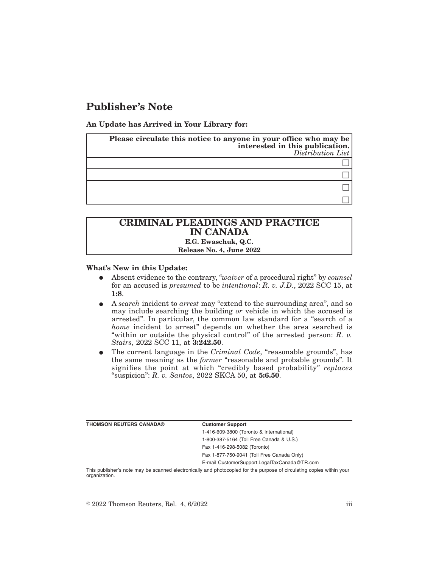## **Publisher's Note**

**An Update has Arrived in Your Library for:**

| Please circulate this notice to anyone in your office who may be<br>interested in this publication. | $Distribution$ List |
|-----------------------------------------------------------------------------------------------------|---------------------|
|                                                                                                     |                     |
|                                                                                                     |                     |
|                                                                                                     |                     |
|                                                                                                     |                     |

## **CRIMINAL PLEADINGS AND PRACTICE IN CANADA E.G. Ewaschuk, Q.C. Release No. 4, June 2022**

## **What's New in this Update:**

- E Absent evidence to the contrary, "*waiver* of a procedural right" by *counsel* for an accused is *presumed* to be *intentional*: *R. v. J.D.*, 2022 SCC 15, at **1:8**.
- E A *search* incident to *arrest* may "extend to the surrounding area", and so may include searching the building *or* vehicle in which the accused is arrested". In particular, the common law standard for a "search of a *home* incident to arrest" depends on whether the area searched is "within or outside the physical control" of the arrested person: *R. v. Stairs*, 2022 SCC 11, at **3:242.50**.
- E The current language in the *Criminal Code*, "reasonable grounds", has the same meaning as the *former* "reasonable and probable grounds". It signifies the point at which "credibly based probability" *replaces* "suspicion": *R. v. Santos*, 2022 SKCA 50, at **5:6.50**.

| <b>THOMSON REUTERS CANADA®</b> | <b>Customer Support</b>                      |
|--------------------------------|----------------------------------------------|
|                                | 1-416-609-3800 (Toronto & International)     |
|                                | 1-800-387-5164 (Toll Free Canada & U.S.)     |
|                                | Fax 1-416-298-5082 (Toronto)                 |
|                                | Fax 1-877-750-9041 (Toll Free Canada Only)   |
|                                | E-mail CustomerSupport.LegalTaxCanada@TR.com |
|                                |                                              |

This publisher's note may be scanned electronically and photocopied for the purpose of circulating copies within your organization.

 $\degree$  2022 Thomson Reuters, Rel. 4, 6/2022 iii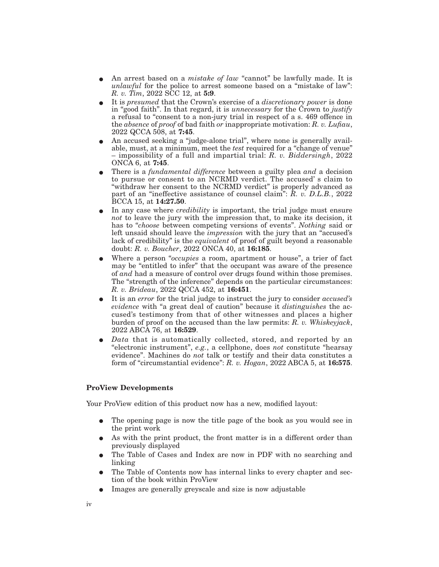- E An arrest based on a *mistake of law* "cannot" be lawfully made. It is *unlawful* for the police to arrest someone based on a "mistake of law": *R. v. Tim*, 2022 SCC 12, at **5:9**.
- E It is *presumed* that the Crown's exercise of a *discretionary power* is done in "good faith". In that regard, it is *unnecessary* for the Crown to *justify* a refusal to "consent to a non-jury trial in respect of a s. 469 offence in the *absence* of *proof* of bad faith *or* inappropriate motivation: *R. v. Lufiau*, 2022 QCCA 508, at **7:45**.
- An accused seeking a "judge-alone trial", where none is generally available, must, at a minimum, meet the *test* required for a "change of venue" – impossibility of a full and impartial trial: *R. v. Biddersingh*, 2022 ONCA 6, at **7:45**.
- E There is a *fundamental difference* between a guilty plea *and* a decision to pursue or consent to an NCRMD verdict. The accused' s claim to "withdraw her consent to the NCRMD verdict" is properly advanced as part of an "ineffective assistance of counsel claim": *R. v. D.L.B.*, 2022 BCCA 15, at **14:27.50**.
- In any case where *credibility* is important, the trial judge must ensure *not* to leave the jury with the impression that, to make its decision, it has to "*choose* between competing versions of events". *Nothing* said or left unsaid should leave the *impression* with the jury that an "accused's lack of credibility" is the *equivalent* of proof of guilt beyond a reasonable doubt: *R. v. Boucher*, 2022 ONCA 40, at **16:185**.
- E Where a person "*occupies* a room, apartment or house", a trier of fact may be "entitled to infer" that the occupant was aware of the presence of *and* had a measure of control over drugs found within those premises. The "strength of the inference" depends on the particular circumstances: *R. v. Brideau*, 2022 QCCA 452, at **16:451**.
- E It is an *error* for the trial judge to instruct the jury to consider *accused's evidence* with "a great deal of caution" because it *distinguishes* the accused's testimony from that of other witnesses and places a higher burden of proof on the accused than the law permits: *R. v. Whiskeyjack*, 2022 ABCA 76, at **16:529**.
- Data that is automatically collected, stored, and reported by an "electronic instrument", *e.g.*, a cellphone, does *not* constitute "hearsay evidence". Machines do *not* talk or testify and their data constitutes a form of "circumstantial evidence": *R. v. Hogan*, 2022 ABCA 5, at **16:575**.

## **ProView Developments**

Your ProView edition of this product now has a new, modified layout:

- The opening page is now the title page of the book as you would see in the print work
- As with the print product, the front matter is in a different order than previously displayed
- E The Table of Cases and Index are now in PDF with no searching and linking
- The Table of Contents now has internal links to every chapter and section of the book within ProView
- E Images are generally greyscale and size is now adjustable